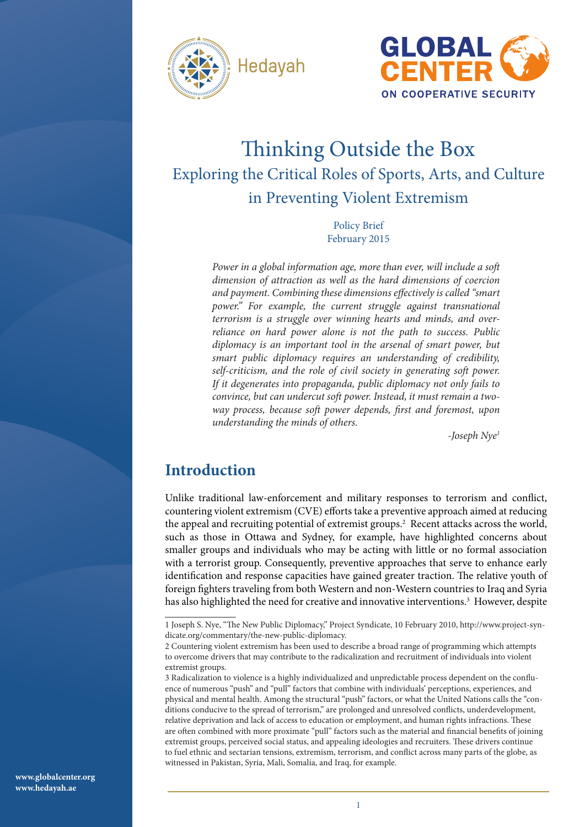



# Thinking Outside the Box Exploring the Critical Roles of Sports, Arts, and Culture in Preventing Violent Extremism

Policy Brief February 2015

*Power in a global information age, more than ever, will include a soft dimension of attraction as well as the hard dimensions of coercion and payment. Combining these dimensions effectively is called "smart*  power." For example, the current struggle against transnational *terrorism is a struggle over winning hearts and minds, and overreliance on hard power alone is not the path to success. Public diplomacy is an important tool in the arsenal of smart power, but smart public diplomacy requires an understanding of credibility, self-criticism, and the role of civil society in generating soft power. If it degenerates into propaganda, public diplomacy not only fails to convince, but can undercut soft power. Instead, it must remain a twoway process, because soft power depends, first and foremost, upon understanding the minds of others.* 

*-Joseph Nye1*

## **Introduction**

Unlike traditional law-enforcement and military responses to terrorism and conflict, countering violent extremism (CVE) efforts take a preventive approach aimed at reducing the appeal and recruiting potential of extremist groups.<sup>2</sup> Recent attacks across the world, such as those in Ottawa and Sydney, for example, have highlighted concerns about smaller groups and individuals who may be acting with little or no formal association with a terrorist group. Consequently, preventive approaches that serve to enhance early identification and response capacities have gained greater traction. The relative youth of foreign fighters traveling from both Western and non-Western countries to Iraq and Syria has also highlighted the need for creative and innovative interventions.<sup>3</sup> However, despite

<sup>1</sup> Joseph S. Nye, "The New Public Diplomacy," Project Syndicate, 10 February 2010, http://www.project-syndicate.org/commentary/the-new-public-diplomacy.

<sup>2</sup> Countering violent extremism has been used to describe a broad range of programming which attempts to overcome drivers that may contribute to the radicalization and recruitment of individuals into violent extremist groups.

<sup>3</sup> Radicalization to violence is a highly individualized and unpredictable process dependent on the confluence of numerous "push" and "pull" factors that combine with individuals' perceptions, experiences, and physical and mental health. Among the structural "push" factors, or what the United Nations calls the "conditions conducive to the spread of terrorism," are prolonged and unresolved conflicts, underdevelopment, relative deprivation and lack of access to education or employment, and human rights infractions. These are often combined with more proximate "pull" factors such as the material and financial benefits of joining extremist groups, perceived social status, and appealing ideologies and recruiters. These drivers continue to fuel ethnic and sectarian tensions, extremism, terrorism, and conflict across many parts of the globe, as witnessed in Pakistan, Syria, Mali, Somalia, and Iraq, for example.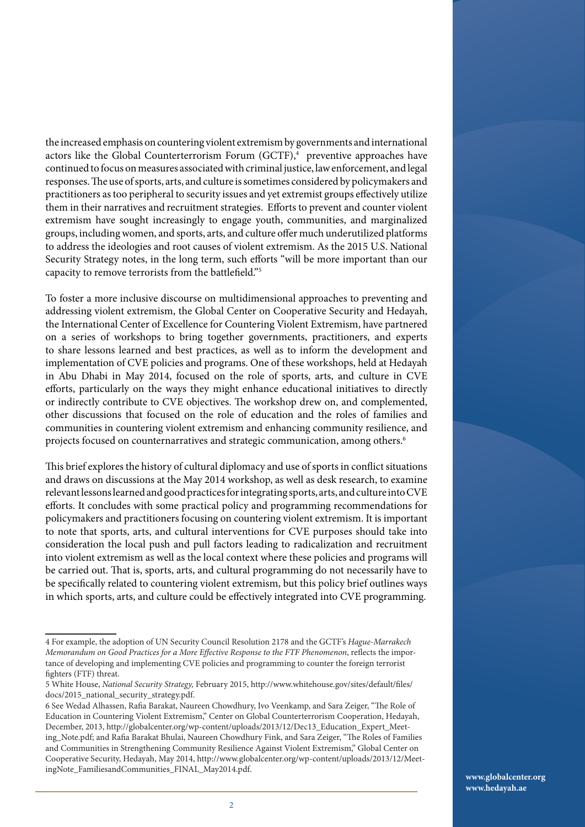the increased emphasis on countering violent extremism by governments and international actors like the Global Counterterrorism Forum (GCTF),<sup>4</sup> preventive approaches have continued to focus on measures associated with criminal justice, law enforcement, and legal responses. The use of sports, arts, and culture is sometimes considered by policymakers and practitioners as too peripheral to security issues and yet extremist groups effectively utilize them in their narratives and recruitment strategies. Efforts to prevent and counter violent extremism have sought increasingly to engage youth, communities, and marginalized groups, including women, and sports, arts, and culture offer much underutilized platforms to address the ideologies and root causes of violent extremism. As the 2015 U.S. National Security Strategy notes, in the long term, such efforts "will be more important than our capacity to remove terrorists from the battlefield."5

To foster a more inclusive discourse on multidimensional approaches to preventing and addressing violent extremism, the Global Center on Cooperative Security and Hedayah, the International Center of Excellence for Countering Violent Extremism, have partnered on a series of workshops to bring together governments, practitioners, and experts to share lessons learned and best practices, as well as to inform the development and implementation of CVE policies and programs. One of these workshops, held at Hedayah in Abu Dhabi in May 2014, focused on the role of sports, arts, and culture in CVE efforts, particularly on the ways they might enhance educational initiatives to directly or indirectly contribute to CVE objectives. The workshop drew on, and complemented, other discussions that focused on the role of education and the roles of families and communities in countering violent extremism and enhancing community resilience, and projects focused on counternarratives and strategic communication, among others.<sup>6</sup>

This brief explores the history of cultural diplomacy and use of sports in conflict situations and draws on discussions at the May 2014 workshop, as well as desk research, to examine relevant lessons learned and good practices for integrating sports, arts, and culture into CVE efforts. It concludes with some practical policy and programming recommendations for policymakers and practitioners focusing on countering violent extremism. It is important to note that sports, arts, and cultural interventions for CVE purposes should take into consideration the local push and pull factors leading to radicalization and recruitment into violent extremism as well as the local context where these policies and programs will be carried out. That is, sports, arts, and cultural programming do not necessarily have to be specifically related to countering violent extremism, but this policy brief outlines ways in which sports, arts, and culture could be effectively integrated into CVE programming.

<sup>4</sup> For example, the adoption of UN Security Council Resolution 2178 and the GCTF's *Hague-Marrakech Memorandum on Good Practices for a More Effective Response to the FTF Phenomenon*, reflects the importance of developing and implementing CVE policies and programming to counter the foreign terrorist fighters (FTF) threat.

<sup>5</sup> White House, *National Security Strategy,* February 2015, http://www.whitehouse.gov/sites/default/files/ docs/2015\_national\_security\_strategy.pdf.

<sup>6</sup> See Wedad Alhassen, Rafia Barakat, Naureen Chowdhury, Ivo Veenkamp, and Sara Zeiger, "The Role of Education in Countering Violent Extremism," Center on Global Counterterrorism Cooperation, Hedayah, December, 2013, http://globalcenter.org/wp-content/uploads/2013/12/Dec13\_Education\_Expert\_Meeting\_Note.pdf; and Rafia Barakat Bhulai, Naureen Chowdhury Fink, and Sara Zeiger, "The Roles of Families and Communities in Strengthening Community Resilience Against Violent Extremism," Global Center on Cooperative Security, Hedayah, May 2014, http://www.globalcenter.org/wp-content/uploads/2013/12/MeetingNote\_FamiliesandCommunities\_FINAL\_May2014.pdf.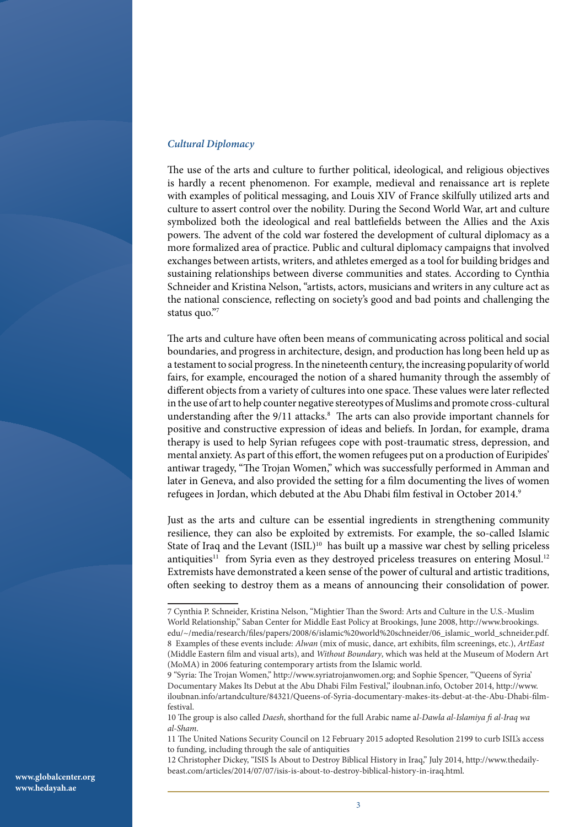#### *Cultural Diplomacy*

The use of the arts and culture to further political, ideological, and religious objectives is hardly a recent phenomenon. For example, medieval and renaissance art is replete with examples of political messaging, and Louis XIV of France skilfully utilized arts and culture to assert control over the nobility. During the Second World War, art and culture symbolized both the ideological and real battlefields between the Allies and the Axis powers. The advent of the cold war fostered the development of cultural diplomacy as a more formalized area of practice. Public and cultural diplomacy campaigns that involved exchanges between artists, writers, and athletes emerged as a tool for building bridges and sustaining relationships between diverse communities and states. According to Cynthia Schneider and Kristina Nelson, "artists, actors, musicians and writers in any culture act as the national conscience, reflecting on society's good and bad points and challenging the status quo."7

The arts and culture have often been means of communicating across political and social boundaries, and progress in architecture, design, and production has long been held up as a testament to social progress. In the nineteenth century, the increasing popularity of world fairs, for example, encouraged the notion of a shared humanity through the assembly of different objects from a variety of cultures into one space. These values were later reflected in the use of art to help counter negative stereotypes of Muslims and promote cross-cultural understanding after the 9/11 attacks.<sup>8</sup> The arts can also provide important channels for positive and constructive expression of ideas and beliefs. In Jordan, for example, drama therapy is used to help Syrian refugees cope with post-traumatic stress, depression, and mental anxiety. As part of this effort, the women refugees put on a production of Euripides' antiwar tragedy, "The Trojan Women," which was successfully performed in Amman and later in Geneva, and also provided the setting for a film documenting the lives of women refugees in Jordan, which debuted at the Abu Dhabi film festival in October 2014.9

Just as the arts and culture can be essential ingredients in strengthening community resilience, they can also be exploited by extremists. For example, the so-called Islamic State of Iraq and the Levant (ISIL)<sup>10</sup> has built up a massive war chest by selling priceless antiquities<sup>11</sup> from Syria even as they destroyed priceless treasures on entering Mosul.<sup>12</sup> Extremists have demonstrated a keen sense of the power of cultural and artistic traditions, often seeking to destroy them as a means of announcing their consolidation of power.

10 The group is also called *Daesh*, shorthand for the full Arabic name a*l-Dawla al-Islamiya fi al-Iraq wa al-Sham*.

11 The United Nations Security Council on 12 February 2015 adopted Resolution 2199 to curb ISIL's access to funding, including through the sale of antiquities

12 Christopher Dickey, "ISIS Is About to Destroy Biblical History in Iraq," July 2014, http://www.thedailybeast.com/articles/2014/07/07/isis-is-about-to-destroy-biblical-history-in-iraq.html.

<sup>7</sup> Cynthia P. Schneider, Kristina Nelson, "Mightier Than the Sword: Arts and Culture in the U.S.-Muslim World Relationship," Saban Center for Middle East Policy at Brookings, June 2008, http://www.brookings. edu/~/media/research/files/papers/2008/6/islamic%20world%20schneider/06\_islamic\_world\_schneider.pdf. 8 Examples of these events include: *Alwan* (mix of music, dance, art exhibits, film screenings, etc.), *ArtEast* (Middle Eastern film and visual arts), and *Without Boundary*, which was held at the Museum of Modern Art (MoMA) in 2006 featuring contemporary artists from the Islamic world.

<sup>9 &</sup>quot;Syria: The Trojan Women," http://www.syriatrojanwomen.org; and Sophie Spencer, "'Queens of Syria' Documentary Makes Its Debut at the Abu Dhabi Film Festival," iloubnan.info, October 2014, http://www. iloubnan.info/artandculture/84321/Queens-of-Syria-documentary-makes-its-debut-at-the-Abu-Dhabi-filmfestival.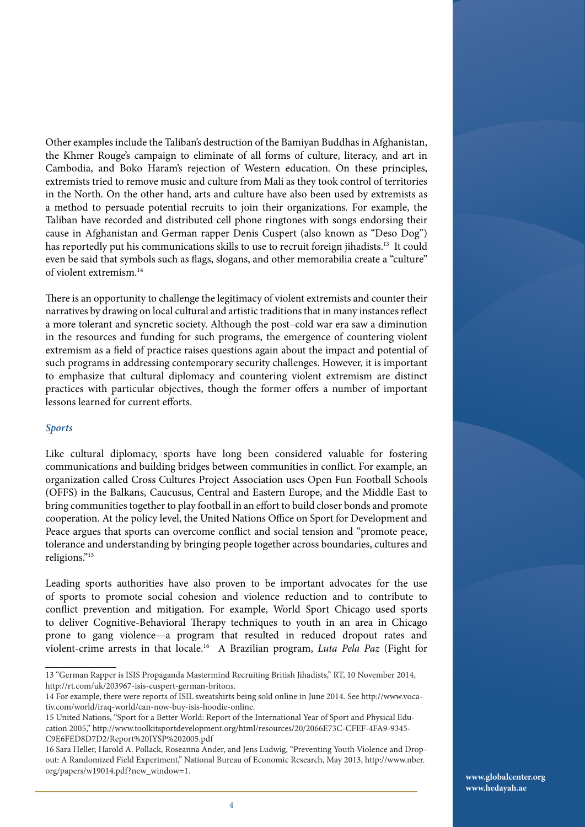Other examples include the Taliban's destruction of the Bamiyan Buddhas in Afghanistan, the Khmer Rouge's campaign to eliminate of all forms of culture, literacy, and art in Cambodia, and Boko Haram's rejection of Western education. On these principles, extremists tried to remove music and culture from Mali as they took control of territories in the North. On the other hand, arts and culture have also been used by extremists as a method to persuade potential recruits to join their organizations. For example, the Taliban have recorded and distributed cell phone ringtones with songs endorsing their cause in Afghanistan and German rapper Denis Cuspert (also known as "Deso Dog") has reportedly put his communications skills to use to recruit foreign jihadists.<sup>13</sup> It could even be said that symbols such as flags, slogans, and other memorabilia create a "culture" of violent extremism.14

There is an opportunity to challenge the legitimacy of violent extremists and counter their narratives by drawing on local cultural and artistic traditions that in many instances reflect a more tolerant and syncretic society. Although the post–cold war era saw a diminution in the resources and funding for such programs, the emergence of countering violent extremism as a field of practice raises questions again about the impact and potential of such programs in addressing contemporary security challenges. However, it is important to emphasize that cultural diplomacy and countering violent extremism are distinct practices with particular objectives, though the former offers a number of important lessons learned for current efforts.

#### *Sports*

Like cultural diplomacy, sports have long been considered valuable for fostering communications and building bridges between communities in conflict. For example, an organization called Cross Cultures Project Association uses Open Fun Football Schools (OFFS) in the Balkans, Caucusus, Central and Eastern Europe, and the Middle East to bring communities together to play football in an effort to build closer bonds and promote cooperation. At the policy level, the United Nations Office on Sport for Development and Peace argues that sports can overcome conflict and social tension and "promote peace, tolerance and understanding by bringing people together across boundaries, cultures and religions."15

Leading sports authorities have also proven to be important advocates for the use of sports to promote social cohesion and violence reduction and to contribute to conflict prevention and mitigation. For example, World Sport Chicago used sports to deliver Cognitive-Behavioral Therapy techniques to youth in an area in Chicago prone to gang violence—a program that resulted in reduced dropout rates and violent-crime arrests in that locale.16 A Brazilian program, *Luta Pela Paz* (Fight for

<sup>13 &</sup>quot;German Rapper is ISIS Propaganda Mastermind Recruiting British Jihadists," RT, 10 November 2014, http://rt.com/uk/203967-isis-cuspert-german-britons.

<sup>14</sup> For example, there were reports of ISIL sweatshirts being sold online in June 2014. See http://www.vocativ.com/world/iraq-world/can-now-buy-isis-hoodie-online.

<sup>15</sup> United Nations, "Sport for a Better World: Report of the International Year of Sport and Physical Education 2005," http://www.toolkitsportdevelopment.org/html/resources/20/2066E73C-CFEF-4FA9-9345- C9E6FED8D7D2/Report%20IYSP%202005.pdf

<sup>16</sup> Sara Heller, Harold A. Pollack, Roseanna Ander, and Jens Ludwig, "Preventing Youth Violence and Dropout: A Randomized Field Experiment," National Bureau of Economic Research, May 2013, http://www.nber. org/papers/w19014.pdf?new\_window=1.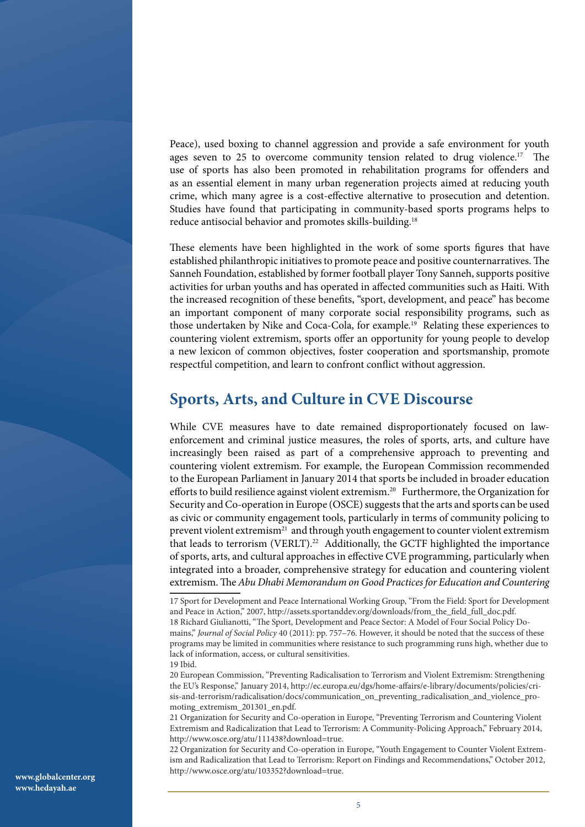Peace), used boxing to channel aggression and provide a safe environment for youth ages seven to 25 to overcome community tension related to drug violence.<sup>17</sup> The use of sports has also been promoted in rehabilitation programs for offenders and as an essential element in many urban regeneration projects aimed at reducing youth crime, which many agree is a cost-effective alternative to prosecution and detention. Studies have found that participating in community-based sports programs helps to reduce antisocial behavior and promotes skills-building.18

These elements have been highlighted in the work of some sports figures that have established philanthropic initiatives to promote peace and positive counternarratives. The Sanneh Foundation, established by former football player Tony Sanneh, supports positive activities for urban youths and has operated in affected communities such as Haiti. With the increased recognition of these benefits, "sport, development, and peace" has become an important component of many corporate social responsibility programs, such as those undertaken by Nike and Coca-Cola, for example.19 Relating these experiences to countering violent extremism, sports offer an opportunity for young people to develop a new lexicon of common objectives, foster cooperation and sportsmanship, promote respectful competition, and learn to confront conflict without aggression.

### **Sports, Arts, and Culture in CVE Discourse**

While CVE measures have to date remained disproportionately focused on lawenforcement and criminal justice measures, the roles of sports, arts, and culture have increasingly been raised as part of a comprehensive approach to preventing and countering violent extremism. For example, the European Commission recommended to the European Parliament in January 2014 that sports be included in broader education efforts to build resilience against violent extremism.<sup>20</sup> Furthermore, the Organization for Security and Co-operation in Europe (OSCE) suggests that the arts and sports can be used as civic or community engagement tools, particularly in terms of community policing to prevent violent extremism<sup>21</sup> and through youth engagement to counter violent extremism that leads to terrorism (VERLT).<sup>22</sup> Additionally, the GCTF highlighted the importance of sports, arts, and cultural approaches in effective CVE programming, particularly when integrated into a broader, comprehensive strategy for education and countering violent extremism. The *Abu Dhabi Memorandum on Good Practices for Education and Countering* 

20 European Commission, "Preventing Radicalisation to Terrorism and Violent Extremism: Strengthening the EU's Response," January 2014, http://ec.europa.eu/dgs/home-affairs/e-library/documents/policies/crisis-and-terrorism/radicalisation/docs/communication\_on\_preventing\_radicalisation\_and\_violence\_promoting\_extremism\_201301\_en.pdf.

21 Organization for Security and Co-operation in Europe, "Preventing Terrorism and Countering Violent Extremism and Radicalization that Lead to Terrorism: A Community-Policing Approach," February 2014, http://www.osce.org/atu/111438?download=true.

22 Organization for Security and Co-operation in Europe, "Youth Engagement to Counter Violent Extremism and Radicalization that Lead to Terrorism: Report on Findings and Recommendations," October 2012, http://www.osce.org/atu/103352?download=true.

<sup>17</sup> Sport for Development and Peace International Working Group, "From the Field: Sport for Development and Peace in Action," 2007, http://assets.sportanddev.org/downloads/from\_the\_field\_full\_doc.pdf. 18 Richard Giulianotti, "The Sport, Development and Peace Sector: A Model of Four Social Policy Domains," *Journal of Social Policy* 40 (2011): pp. 757–76. However, it should be noted that the success of these programs may be limited in communities where resistance to such programming runs high, whether due to lack of information, access, or cultural sensitivities. 19 Ibid.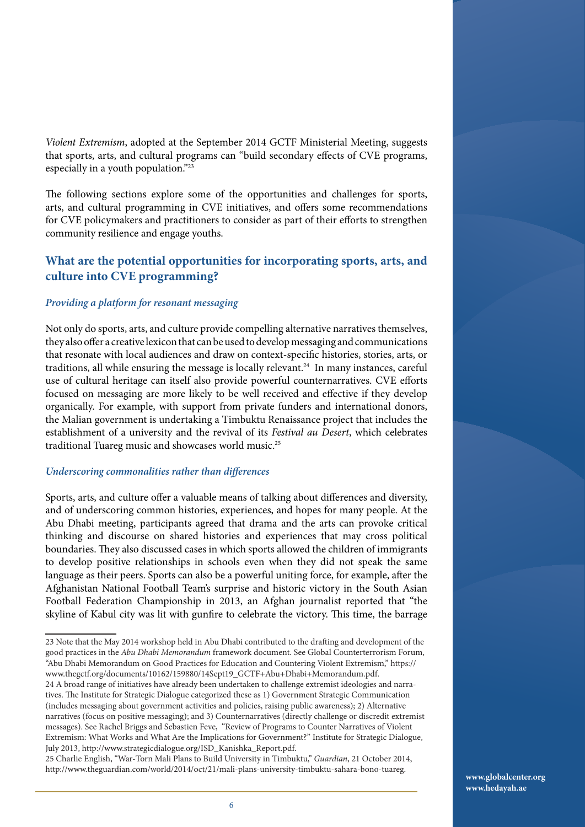*Violent Extremism*, adopted at the September 2014 GCTF Ministerial Meeting, suggests that sports, arts, and cultural programs can "build secondary effects of CVE programs, especially in a youth population."23

The following sections explore some of the opportunities and challenges for sports, arts, and cultural programming in CVE initiatives, and offers some recommendations for CVE policymakers and practitioners to consider as part of their efforts to strengthen community resilience and engage youths.

#### **What are the potential opportunities for incorporating sports, arts, and culture into CVE programming?**

#### *Providing a platform for resonant messaging*

Not only do sports, arts, and culture provide compelling alternative narratives themselves, they also offer a creative lexicon that can be used to develop messaging and communications that resonate with local audiences and draw on context-specific histories, stories, arts, or traditions, all while ensuring the message is locally relevant.<sup>24</sup> In many instances, careful use of cultural heritage can itself also provide powerful counternarratives. CVE efforts focused on messaging are more likely to be well received and effective if they develop organically. For example, with support from private funders and international donors, the Malian government is undertaking a Timbuktu Renaissance project that includes the establishment of a university and the revival of its *Festival au Desert*, which celebrates traditional Tuareg music and showcases world music.25

#### *Underscoring commonalities rather than differences*

Sports, arts, and culture offer a valuable means of talking about differences and diversity, and of underscoring common histories, experiences, and hopes for many people. At the Abu Dhabi meeting, participants agreed that drama and the arts can provoke critical thinking and discourse on shared histories and experiences that may cross political boundaries. They also discussed cases in which sports allowed the children of immigrants to develop positive relationships in schools even when they did not speak the same language as their peers. Sports can also be a powerful uniting force, for example, after the Afghanistan National Football Team's surprise and historic victory in the South Asian Football Federation Championship in 2013, an Afghan journalist reported that "the skyline of Kabul city was lit with gunfire to celebrate the victory. This time, the barrage

<sup>23</sup> Note that the May 2014 workshop held in Abu Dhabi contributed to the drafting and development of the good practices in the *Abu Dhabi Memorandum* framework document. See Global Counterterrorism Forum, "Abu Dhabi Memorandum on Good Practices for Education and Countering Violent Extremism," https:// www.thegctf.org/documents/10162/159880/14Sept19\_GCTF+Abu+Dhabi+Memorandum.pdf. 24 A broad range of initiatives have already been undertaken to challenge extremist ideologies and narratives. The Institute for Strategic Dialogue categorized these as 1) Government Strategic Communication

<sup>(</sup>includes messaging about government activities and policies, raising public awareness); 2) Alternative narratives (focus on positive messaging); and 3) Counternarratives (directly challenge or discredit extremist messages). See Rachel Briggs and Sebastien Feve, "Review of Programs to Counter Narratives of Violent Extremism: What Works and What Are the Implications for Government?" Institute for Strategic Dialogue, July 2013, http://www.strategicdialogue.org/ISD\_Kanishka\_Report.pdf.

<sup>25</sup> Charlie English, "War-Torn Mali Plans to Build University in Timbuktu," *Guardian*, 21 October 2014, http://www.theguardian.com/world/2014/oct/21/mali-plans-university-timbuktu-sahara-bono-tuareg.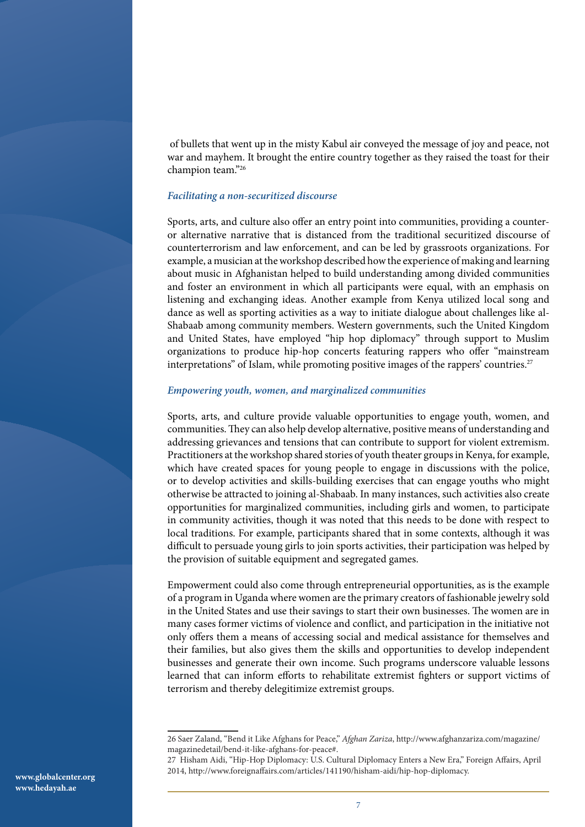of bullets that went up in the misty Kabul air conveyed the message of joy and peace, not war and mayhem. It brought the entire country together as they raised the toast for their champion team."26

#### *Facilitating a non-securitized discourse*

Sports, arts, and culture also offer an entry point into communities, providing a counteror alternative narrative that is distanced from the traditional securitized discourse of counterterrorism and law enforcement, and can be led by grassroots organizations. For example, a musician at the workshop described how the experience of making and learning about music in Afghanistan helped to build understanding among divided communities and foster an environment in which all participants were equal, with an emphasis on listening and exchanging ideas. Another example from Kenya utilized local song and dance as well as sporting activities as a way to initiate dialogue about challenges like al-Shabaab among community members. Western governments, such the United Kingdom and United States, have employed "hip hop diplomacy" through support to Muslim organizations to produce hip-hop concerts featuring rappers who offer "mainstream interpretations" of Islam, while promoting positive images of the rappers' countries.<sup>27</sup>

#### *Empowering youth, women, and marginalized communities*

Sports, arts, and culture provide valuable opportunities to engage youth, women, and communities. They can also help develop alternative, positive means of understanding and addressing grievances and tensions that can contribute to support for violent extremism. Practitioners at the workshop shared stories of youth theater groups in Kenya, for example, which have created spaces for young people to engage in discussions with the police, or to develop activities and skills-building exercises that can engage youths who might otherwise be attracted to joining al-Shabaab. In many instances, such activities also create opportunities for marginalized communities, including girls and women, to participate in community activities, though it was noted that this needs to be done with respect to local traditions. For example, participants shared that in some contexts, although it was difficult to persuade young girls to join sports activities, their participation was helped by the provision of suitable equipment and segregated games.

Empowerment could also come through entrepreneurial opportunities, as is the example of a program in Uganda where women are the primary creators of fashionable jewelry sold in the United States and use their savings to start their own businesses. The women are in many cases former victims of violence and conflict, and participation in the initiative not only offers them a means of accessing social and medical assistance for themselves and their families, but also gives them the skills and opportunities to develop independent businesses and generate their own income. Such programs underscore valuable lessons learned that can inform efforts to rehabilitate extremist fighters or support victims of terrorism and thereby delegitimize extremist groups.

<sup>26</sup> Saer Zaland, "Bend it Like Afghans for Peace," *Afghan Zariza*, http://www.afghanzariza.com/magazine/ magazinedetail/bend-it-like-afghans-for-peace#.

<sup>27</sup> Hisham Aidi, "Hip-Hop Diplomacy: U.S. Cultural Diplomacy Enters a New Era," Foreign Affairs, April 2014, http://www.foreignaffairs.com/articles/141190/hisham-aidi/hip-hop-diplomacy.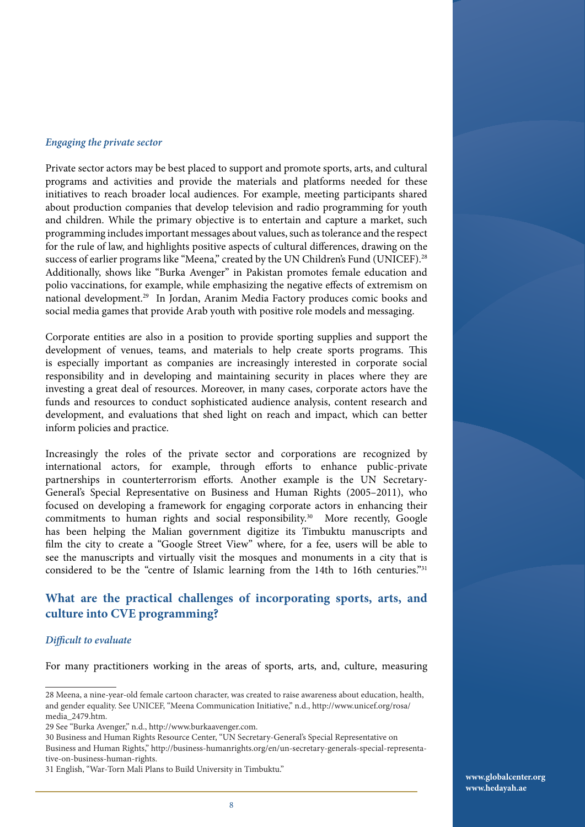#### *Engaging the private sector*

Private sector actors may be best placed to support and promote sports, arts, and cultural programs and activities and provide the materials and platforms needed for these initiatives to reach broader local audiences. For example, meeting participants shared about production companies that develop television and radio programming for youth and children. While the primary objective is to entertain and capture a market, such programming includes important messages about values, such as tolerance and the respect for the rule of law, and highlights positive aspects of cultural differences, drawing on the success of earlier programs like "Meena," created by the UN Children's Fund (UNICEF).<sup>28</sup> Additionally, shows like "Burka Avenger" in Pakistan promotes female education and polio vaccinations, for example, while emphasizing the negative effects of extremism on national development.29 In Jordan, Aranim Media Factory produces comic books and social media games that provide Arab youth with positive role models and messaging.

Corporate entities are also in a position to provide sporting supplies and support the development of venues, teams, and materials to help create sports programs. This is especially important as companies are increasingly interested in corporate social responsibility and in developing and maintaining security in places where they are investing a great deal of resources. Moreover, in many cases, corporate actors have the funds and resources to conduct sophisticated audience analysis, content research and development, and evaluations that shed light on reach and impact, which can better inform policies and practice.

Increasingly the roles of the private sector and corporations are recognized by international actors, for example, through efforts to enhance public-private partnerships in counterterrorism efforts. Another example is the UN Secretary-General's Special Representative on Business and Human Rights (2005–2011), who focused on developing a framework for engaging corporate actors in enhancing their commitments to human rights and social responsibility.<sup>30</sup> More recently, Google has been helping the Malian government digitize its Timbuktu manuscripts and film the city to create a "Google Street View" where, for a fee, users will be able to see the manuscripts and virtually visit the mosques and monuments in a city that is considered to be the "centre of Islamic learning from the 14th to 16th centuries."31

#### **What are the practical challenges of incorporating sports, arts, and culture into CVE programming?**

#### *Difficult to evaluate*

For many practitioners working in the areas of sports, arts, and, culture, measuring

30 Business and Human Rights Resource Center, "UN Secretary-General's Special Representative on Business and Human Rights," http://business-humanrights.org/en/un-secretary-generals-special-representative-on-business-human-rights.

31 English, "War-Torn Mali Plans to Build University in Timbuktu."

<sup>28</sup> Meena, a nine-year-old female cartoon character, was created to raise awareness about education, health, and gender equality. See UNICEF, "Meena Communication Initiative," n.d., http://www.unicef.org/rosa/ media\_2479.htm.

<sup>29</sup> See "Burka Avenger," n.d., http://www.burkaavenger.com.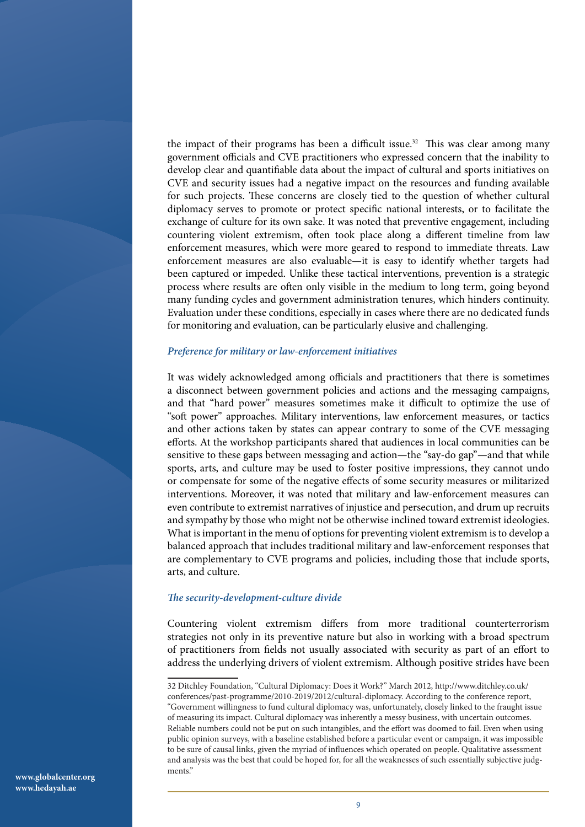the impact of their programs has been a difficult issue.<sup>32</sup> This was clear among many government officials and CVE practitioners who expressed concern that the inability to develop clear and quantifiable data about the impact of cultural and sports initiatives on CVE and security issues had a negative impact on the resources and funding available for such projects. These concerns are closely tied to the question of whether cultural diplomacy serves to promote or protect specific national interests, or to facilitate the exchange of culture for its own sake. It was noted that preventive engagement, including countering violent extremism, often took place along a different timeline from law enforcement measures, which were more geared to respond to immediate threats. Law enforcement measures are also evaluable—it is easy to identify whether targets had been captured or impeded. Unlike these tactical interventions, prevention is a strategic process where results are often only visible in the medium to long term, going beyond many funding cycles and government administration tenures, which hinders continuity. Evaluation under these conditions, especially in cases where there are no dedicated funds for monitoring and evaluation, can be particularly elusive and challenging.

#### *Preference for military or law-enforcement initiatives*

It was widely acknowledged among officials and practitioners that there is sometimes a disconnect between government policies and actions and the messaging campaigns, and that "hard power" measures sometimes make it difficult to optimize the use of "soft power" approaches. Military interventions, law enforcement measures, or tactics and other actions taken by states can appear contrary to some of the CVE messaging efforts. At the workshop participants shared that audiences in local communities can be sensitive to these gaps between messaging and action—the "say-do gap"—and that while sports, arts, and culture may be used to foster positive impressions, they cannot undo or compensate for some of the negative effects of some security measures or militarized interventions. Moreover, it was noted that military and law-enforcement measures can even contribute to extremist narratives of injustice and persecution, and drum up recruits and sympathy by those who might not be otherwise inclined toward extremist ideologies. What is important in the menu of options for preventing violent extremism is to develop a balanced approach that includes traditional military and law-enforcement responses that are complementary to CVE programs and policies, including those that include sports, arts, and culture.

#### *The security-development-culture divide*

Countering violent extremism differs from more traditional counterterrorism strategies not only in its preventive nature but also in working with a broad spectrum of practitioners from fields not usually associated with security as part of an effort to address the underlying drivers of violent extremism. Although positive strides have been

<sup>32</sup> Ditchley Foundation, "Cultural Diplomacy: Does it Work?" March 2012, http://www.ditchley.co.uk/ conferences/past-programme/2010-2019/2012/cultural-diplomacy. According to the conference report, "Government willingness to fund cultural diplomacy was, unfortunately, closely linked to the fraught issue of measuring its impact. Cultural diplomacy was inherently a messy business, with uncertain outcomes. Reliable numbers could not be put on such intangibles, and the effort was doomed to fail. Even when using public opinion surveys, with a baseline established before a particular event or campaign, it was impossible to be sure of causal links, given the myriad of influences which operated on people. Qualitative assessment and analysis was the best that could be hoped for, for all the weaknesses of such essentially subjective judgments."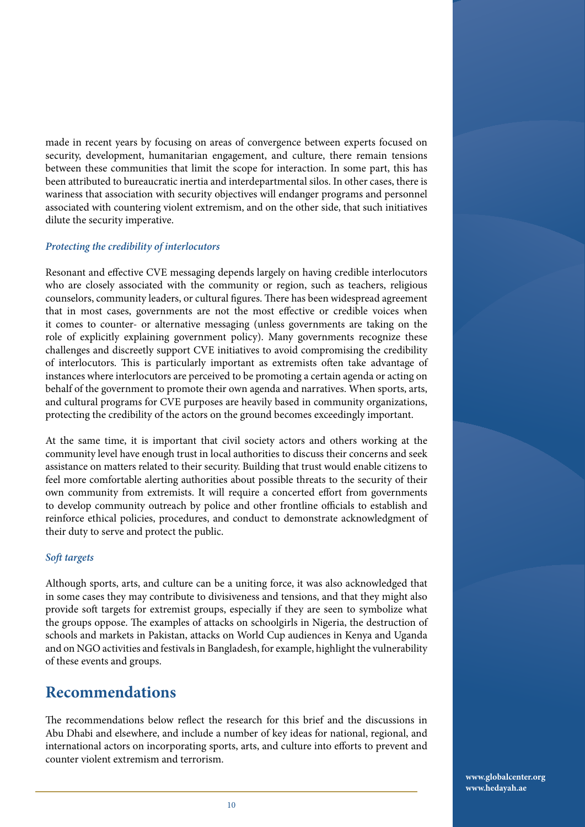made in recent years by focusing on areas of convergence between experts focused on security, development, humanitarian engagement, and culture, there remain tensions between these communities that limit the scope for interaction. In some part, this has been attributed to bureaucratic inertia and interdepartmental silos. In other cases, there is wariness that association with security objectives will endanger programs and personnel associated with countering violent extremism, and on the other side, that such initiatives dilute the security imperative.

#### *Protecting the credibility of interlocutors*

Resonant and effective CVE messaging depends largely on having credible interlocutors who are closely associated with the community or region, such as teachers, religious counselors, community leaders, or cultural figures. There has been widespread agreement that in most cases, governments are not the most effective or credible voices when it comes to counter- or alternative messaging (unless governments are taking on the role of explicitly explaining government policy). Many governments recognize these challenges and discreetly support CVE initiatives to avoid compromising the credibility of interlocutors. This is particularly important as extremists often take advantage of instances where interlocutors are perceived to be promoting a certain agenda or acting on behalf of the government to promote their own agenda and narratives. When sports, arts, and cultural programs for CVE purposes are heavily based in community organizations, protecting the credibility of the actors on the ground becomes exceedingly important.

At the same time, it is important that civil society actors and others working at the community level have enough trust in local authorities to discuss their concerns and seek assistance on matters related to their security. Building that trust would enable citizens to feel more comfortable alerting authorities about possible threats to the security of their own community from extremists. It will require a concerted effort from governments to develop community outreach by police and other frontline officials to establish and reinforce ethical policies, procedures, and conduct to demonstrate acknowledgment of their duty to serve and protect the public.

#### *Soft targets*

Although sports, arts, and culture can be a uniting force, it was also acknowledged that in some cases they may contribute to divisiveness and tensions, and that they might also provide soft targets for extremist groups, especially if they are seen to symbolize what the groups oppose. The examples of attacks on schoolgirls in Nigeria, the destruction of schools and markets in Pakistan, attacks on World Cup audiences in Kenya and Uganda and on NGO activities and festivals in Bangladesh, for example, highlight the vulnerability of these events and groups.

### **Recommendations**

The recommendations below reflect the research for this brief and the discussions in Abu Dhabi and elsewhere, and include a number of key ideas for national, regional, and international actors on incorporating sports, arts, and culture into efforts to prevent and counter violent extremism and terrorism.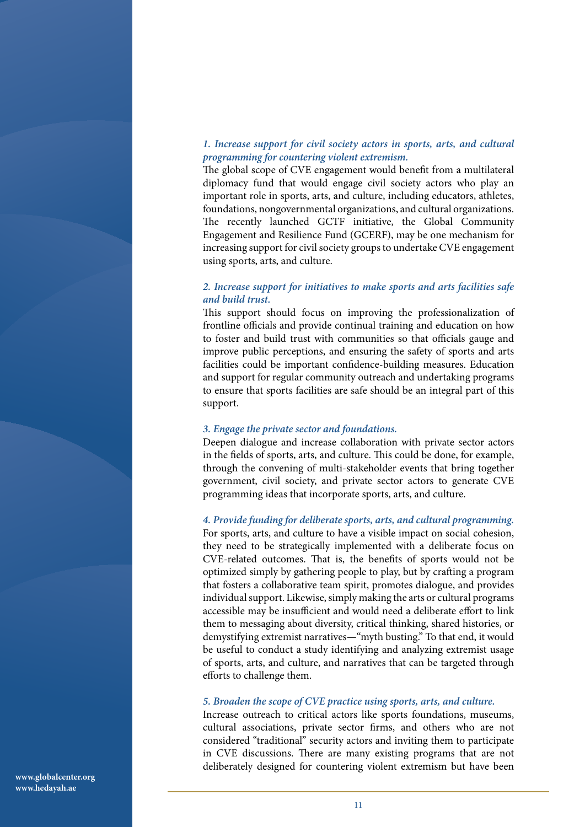#### *1. Increase support for civil society actors in sports, arts, and cultural programming for countering violent extremism.*

The global scope of CVE engagement would benefit from a multilateral diplomacy fund that would engage civil society actors who play an important role in sports, arts, and culture, including educators, athletes, foundations, nongovernmental organizations, and cultural organizations. The recently launched GCTF initiative, the Global Community Engagement and Resilience Fund (GCERF), may be one mechanism for increasing support for civil society groups to undertake CVE engagement using sports, arts, and culture.

#### *2. Increase support for initiatives to make sports and arts facilities safe and build trust.*

This support should focus on improving the professionalization of frontline officials and provide continual training and education on how to foster and build trust with communities so that officials gauge and improve public perceptions, and ensuring the safety of sports and arts facilities could be important confidence-building measures. Education and support for regular community outreach and undertaking programs to ensure that sports facilities are safe should be an integral part of this support.

#### *3. Engage the private sector and foundations.*

Deepen dialogue and increase collaboration with private sector actors in the fields of sports, arts, and culture. This could be done, for example, through the convening of multi-stakeholder events that bring together government, civil society, and private sector actors to generate CVE programming ideas that incorporate sports, arts, and culture.

*4. Provide funding for deliberate sports, arts, and cultural programming.*  For sports, arts, and culture to have a visible impact on social cohesion, they need to be strategically implemented with a deliberate focus on CVE-related outcomes. That is, the benefits of sports would not be optimized simply by gathering people to play, but by crafting a program that fosters a collaborative team spirit, promotes dialogue, and provides individual support. Likewise, simply making the arts or cultural programs accessible may be insufficient and would need a deliberate effort to link them to messaging about diversity, critical thinking, shared histories, or demystifying extremist narratives—"myth busting." To that end, it would be useful to conduct a study identifying and analyzing extremist usage of sports, arts, and culture, and narratives that can be targeted through efforts to challenge them.

#### *5. Broaden the scope of CVE practice using sports, arts, and culture.*

Increase outreach to critical actors like sports foundations, museums, cultural associations, private sector firms, and others who are not considered "traditional" security actors and inviting them to participate in CVE discussions. There are many existing programs that are not deliberately designed for countering violent extremism but have been

**www.globalcenter.org www.hedayah.ae**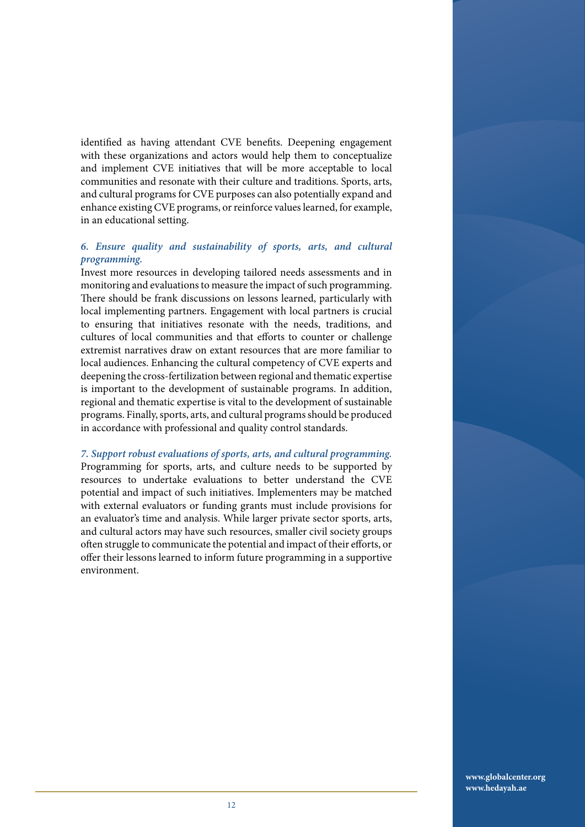identified as having attendant CVE benefits. Deepening engagement with these organizations and actors would help them to conceptualize and implement CVE initiatives that will be more acceptable to local communities and resonate with their culture and traditions. Sports, arts, and cultural programs for CVE purposes can also potentially expand and enhance existing CVE programs, or reinforce values learned, for example, in an educational setting.

#### *6. Ensure quality and sustainability of sports, arts, and cultural programming.*

Invest more resources in developing tailored needs assessments and in monitoring and evaluations to measure the impact of such programming. There should be frank discussions on lessons learned, particularly with local implementing partners. Engagement with local partners is crucial to ensuring that initiatives resonate with the needs, traditions, and cultures of local communities and that efforts to counter or challenge extremist narratives draw on extant resources that are more familiar to local audiences. Enhancing the cultural competency of CVE experts and deepening the cross-fertilization between regional and thematic expertise is important to the development of sustainable programs. In addition, regional and thematic expertise is vital to the development of sustainable programs. Finally, sports, arts, and cultural programs should be produced in accordance with professional and quality control standards.

*7. Support robust evaluations of sports, arts, and cultural programming.*  Programming for sports, arts, and culture needs to be supported by resources to undertake evaluations to better understand the CVE potential and impact of such initiatives. Implementers may be matched with external evaluators or funding grants must include provisions for an evaluator's time and analysis. While larger private sector sports, arts, and cultural actors may have such resources, smaller civil society groups often struggle to communicate the potential and impact of their efforts, or offer their lessons learned to inform future programming in a supportive environment.

> **www.globalcenter.org www.hedayah.ae**